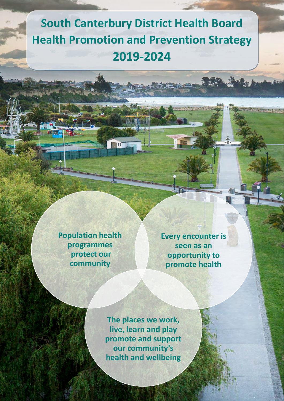# **Health Promotion and Prevention Strategy South Canterbury District Health Board 2019-2024**

**Population health programmes protect our community** 

i

**Every encounter is seen as an opportunity to promote health**

Page **1** of **5**

**The places we work, live, learn and play promote and support our community's health and wellbeing**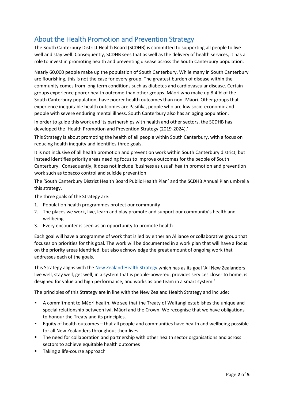### About the Health Promotion and Prevention Strategy

The South Canterbury District Health Board (SCDHB) is committed to supporting all people to live well and stay well. Consequently, SCDHB sees that as well as the delivery of health services, it has a role to invest in promoting health and preventing disease across the South Canterbury population.

Nearly 60,000 people make up the population of South Canterbury. While many in South Canterbury are flourishing, this is not the case for every group. The greatest burden of disease within the community comes from long term conditions such as diabetes and cardiovascular disease. Certain groups experience poorer health outcome than other groups. Māori who make up 8.4 % of the South Canterbury population, have poorer health outcomes than non- Māori. Other groups that experience inequitable health outcomes are Pasifika, people who are low socio-economic and people with severe enduring mental illness. South Canterbury also has an aging population.

In order to guide this work and its partnerships with health and other sectors, the SCDHB has developed the 'Health Promotion and Prevention Strategy (2019-2024).'

This Strategy is about promoting the health of all people within South Canterbury, with a focus on reducing health inequity and identifies three goals.

It is not inclusive of all health promotion and prevention work within South Canterbury district, but instead identifies priority areas needing focus to improve outcomes for the people of South Canterbury. Consequently, it does not include 'business as usual' health promotion and prevention work such as tobacco control and suicide prevention

The 'South Canterbury District Health Board Public Health Plan' and the SCDHB Annual Plan umbrella this strategy.

The three goals of the Strategy are:

- 1. Population health programmes protect our community
- 2. The places we work, live, learn and play promote and support our community's health and wellbeing
- 3. Every encounter is seen as an opportunity to promote health

Each goal will have a programme of work that is led by either an Alliance or collaborative group that focuses on priorities for this goal. The work will be documented in a work plan that will have a focus on the priority areas identified, but also acknowledge the great amount of ongoing work that addresses each of the goals.

This Strategy aligns with the [New Zealand Health Strategy](https://www.health.govt.nz/publication/new-zealand-health-strategy-2016) which has as its goal 'All New Zealanders live well, stay well, get well, in a system that is people-powered, provides services closer to home, is designed for value and high performance, and works as one team in a smart system.'

The principles of this Strategy are in line with the New Zealand Health Strategy and include:

- A commitment to Māori health. We see that the Treaty of Waitangi establishes the unique and special relationship between iwi, Māori and the Crown. We recognise that we have obligations to honour the Treaty and its principles.
- Equity of health outcomes that all people and communities have health and wellbeing possible for all New Zealanders throughout their lives
- **The need for collaboration and partnership with other health sector organisations and across** sectors to achieve equitable health outcomes
- **Taking a life-course approach**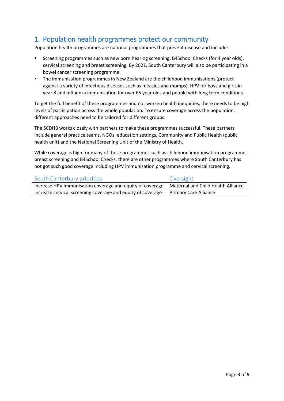#### 1. Population health programmes protect our community

Population health programmes are national programmes that prevent disease and include:

- Screening programmes such as new born hearing screening, B4School Checks (for 4 year olds), cervical screening and breast screening. By 2021, South Canterbury will also be participating in a bowel cancer screening programme.
- The immunisation programmes in New Zealand are the childhood immunisations (protect against a variety of infectious diseases such as measles and mumps), HPV for boys and girls in year 8 and influenza immunisation for over 65 year olds and people with long term conditions.

To get the full benefit of these programmes and not worsen health inequities, there needs to be high levels of participation across the whole population. To ensure coverage across the population, different approaches need to be tailored for different groups.

The SCDHB works closely with partners to make these programmes successful. These partners include general practice teams, NGOs, education settings, Community and Public Health (public health unit) and the National Screening Unit of the Ministry of Health.

While coverage is high for many of these programmes such as childhood immunisation programme, breast screening and B4School Checks, there are other programmes where South Canterbury has not got such good coverage including HPV immunisation programme and cervical screening.

| South Canterbury priorities                                 | Oversight                          |
|-------------------------------------------------------------|------------------------------------|
| Increase HPV immunisation coverage and equity of coverage   | Maternal and Child Health Alliance |
| Increase cervical screening coverage and equity of coverage | <b>Primary Care Alliance</b>       |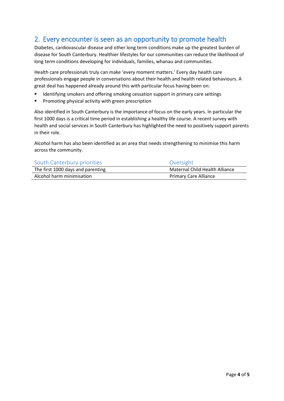#### 2. Every encounter is seen as an opportunity to promote health

Diabetes, cardiovascular disease and other long term conditions make up the greatest burden of disease for South Canterbury. Healthier lifestyles for our communities can reduce the likelihood of long term conditions developing for individuals, families, whanau and communities.

Health care professionals truly can make 'every moment matters.' Every day health care professionals engage people in conversations about their health and health related behaviours. A great deal has happened already around this with particular focus having been on:

- **IDENTIFY IDENTIFY IS STARK IS STARK IS STARK IS SET IS SET IS SET IS SET IS SET IS SET IS SET IS SET IS SET IS SET IS SET IS SET IS SET IS SET IS SET IS SET IS SET IS SET IS SET IS SET IS SET IS SET IS SET IS SET IS SET I**
- **Promoting physical activity with green prescription**

Also identified in South Canterbury is the importance of focus on the early years. In particular the first 1000 days is a critical time period in establishing a healthy life course. A recent survey with health and social services in South Canterbury has highlighted the need to positively support parents in their role.

Alcohol harm has also been identified as an area that needs strengthening to minimise this harm across the community.

| South Canterbury priorities       | Oversight                      |
|-----------------------------------|--------------------------------|
| The first 1000 days and parenting | Maternal Child Health Alliance |
| Alcohol harm minimisation         | <b>Primary Care Alliance</b>   |